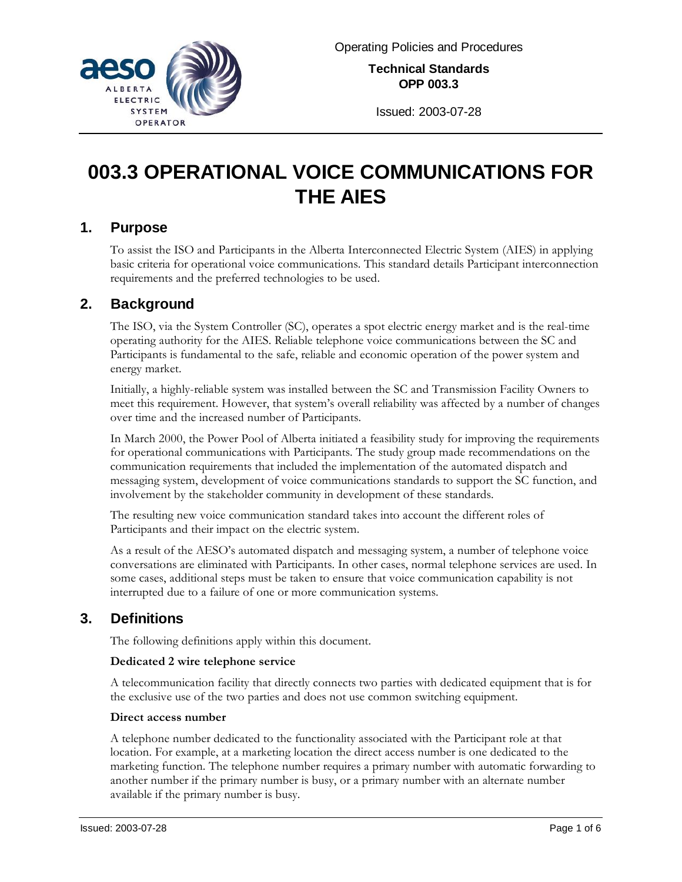

**Technical Standards OPP 003.3**

Issued: 2003-07-28

# **003.3 OPERATIONAL VOICE COMMUNICATIONS FOR THE AIES**

## **1. Purpose**

To assist the ISO and Participants in the Alberta Interconnected Electric System (AIES) in applying basic criteria for operational voice communications. This standard details Participant interconnection requirements and the preferred technologies to be used.

# **2. Background**

The ISO, via the System Controller (SC), operates a spot electric energy market and is the real-time operating authority for the AIES. Reliable telephone voice communications between the SC and Participants is fundamental to the safe, reliable and economic operation of the power system and energy market.

Initially, a highly-reliable system was installed between the SC and Transmission Facility Owners to meet this requirement. However, that system's overall reliability was affected by a number of changes over time and the increased number of Participants.

In March 2000, the Power Pool of Alberta initiated a feasibility study for improving the requirements for operational communications with Participants. The study group made recommendations on the communication requirements that included the implementation of the automated dispatch and messaging system, development of voice communications standards to support the SC function, and involvement by the stakeholder community in development of these standards.

The resulting new voice communication standard takes into account the different roles of Participants and their impact on the electric system.

As a result of the AESO's automated dispatch and messaging system, a number of telephone voice conversations are eliminated with Participants. In other cases, normal telephone services are used. In some cases, additional steps must be taken to ensure that voice communication capability is not interrupted due to a failure of one or more communication systems.

# **3. Definitions**

The following definitions apply within this document.

## **Dedicated 2 wire telephone service**

A telecommunication facility that directly connects two parties with dedicated equipment that is for the exclusive use of the two parties and does not use common switching equipment.

## **Direct access number**

A telephone number dedicated to the functionality associated with the Participant role at that location. For example, at a marketing location the direct access number is one dedicated to the marketing function. The telephone number requires a primary number with automatic forwarding to another number if the primary number is busy, or a primary number with an alternate number available if the primary number is busy.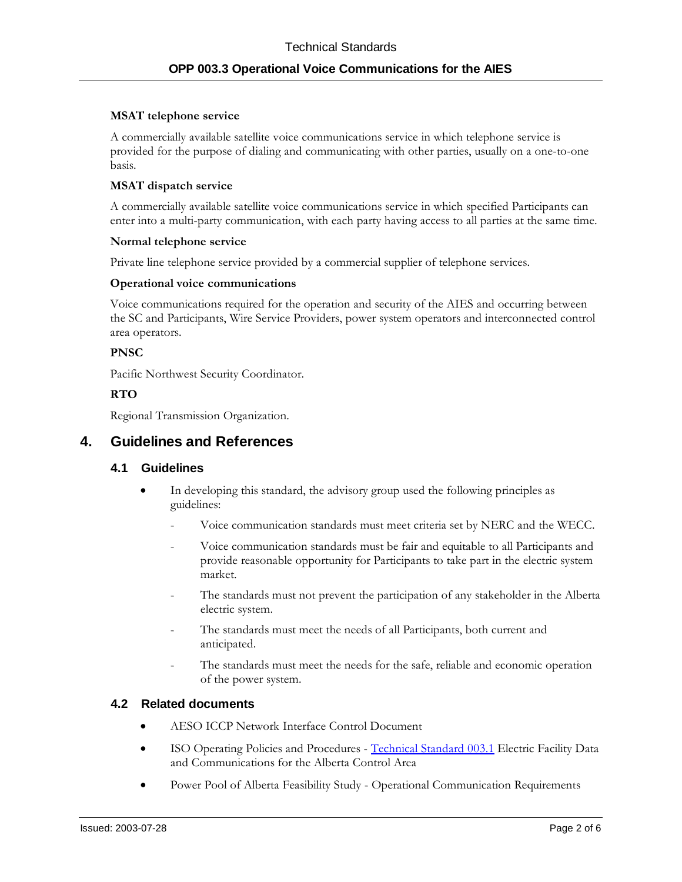#### **MSAT telephone service**

A commercially available satellite voice communications service in which telephone service is provided for the purpose of dialing and communicating with other parties, usually on a one-to-one basis.

#### **MSAT dispatch service**

A commercially available satellite voice communications service in which specified Participants can enter into a multi-party communication, with each party having access to all parties at the same time.

#### **Normal telephone service**

Private line telephone service provided by a commercial supplier of telephone services.

#### **Operational voice communications**

Voice communications required for the operation and security of the AIES and occurring between the SC and Participants, Wire Service Providers, power system operators and interconnected control area operators.

#### **PNSC**

Pacific Northwest Security Coordinator.

## **RTO**

Regional Transmission Organization.

## **4. Guidelines and References**

## **4.1 Guidelines**

- In developing this standard, the advisory group used the following principles as guidelines:
	- Voice communication standards must meet criteria set by NERC and the WECC.
	- Voice communication standards must be fair and equitable to all Participants and provide reasonable opportunity for Participants to take part in the electric system market.
	- The standards must not prevent the participation of any stakeholder in the Alberta electric system.
	- The standards must meet the needs of all Participants, both current and anticipated.
	- The standards must meet the needs for the safe, reliable and economic operation of the power system.

## **4.2 Related documents**

- AESO ICCP Network Interface Control Document
- ISO Operating Policies and Procedures [Technical Standard 003.1](#page--1-0) Electric Facility Data and Communications for the Alberta Control Area
- Power Pool of Alberta Feasibility Study Operational Communication Requirements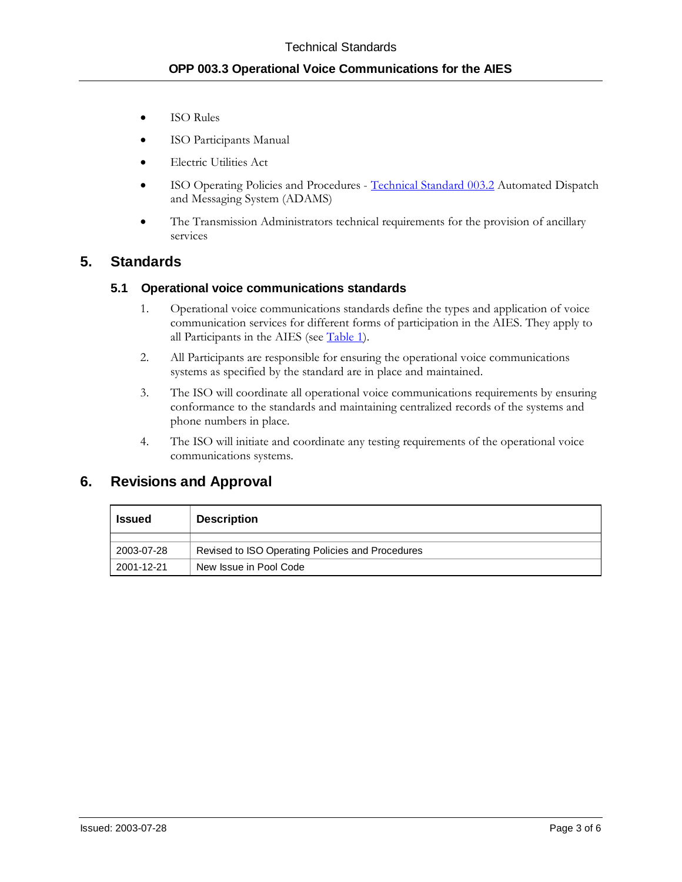- **ISO Rules**
- ISO Participants Manual
- Electric Utilities Act
- ISO Operating Policies and Procedures [Technical Standard 003.2](#page--1-0) Automated Dispatch and Messaging System (ADAMS)
- The Transmission Administrators technical requirements for the provision of ancillary services

## **5. Standards**

## **5.1 Operational voice communications standards**

- 1. Operational voice communications standards define the types and application of voice communication services for different forms of participation in the AIES. They apply to all Participants in the AIES (see [Table 1\)](#page-3-0).
- 2. All Participants are responsible for ensuring the operational voice communications systems as specified by the standard are in place and maintained.
- 3. The ISO will coordinate all operational voice communications requirements by ensuring conformance to the standards and maintaining centralized records of the systems and phone numbers in place.
- 4. The ISO will initiate and coordinate any testing requirements of the operational voice communications systems.

## **6. Revisions and Approval**

| <b>Issued</b> | <b>Description</b>                               |
|---------------|--------------------------------------------------|
| 2003-07-28    | Revised to ISO Operating Policies and Procedures |
| 2001-12-21    | New Issue in Pool Code                           |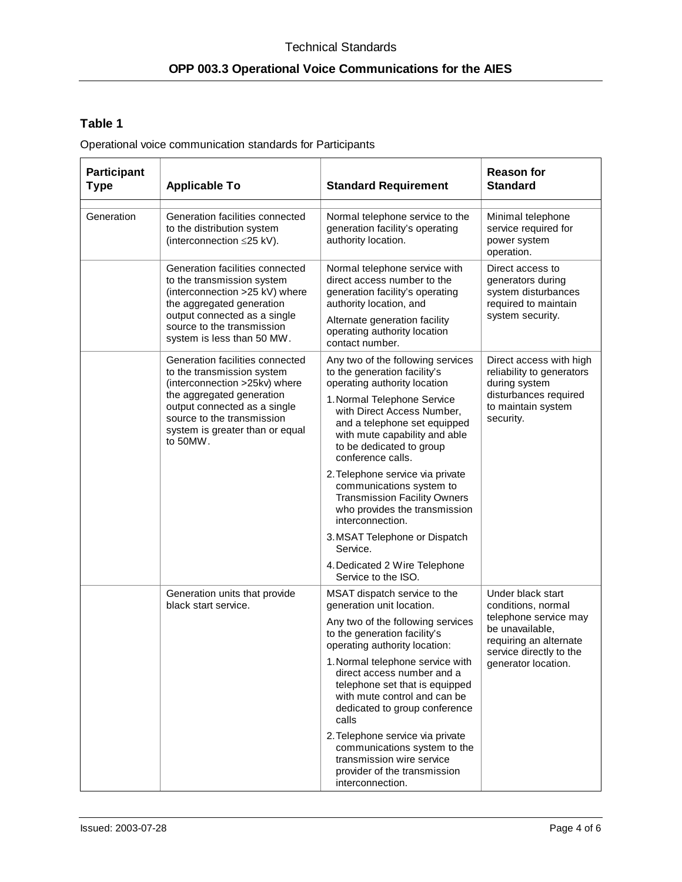# <span id="page-3-0"></span>**Table 1**

Operational voice communication standards for Participants

| <b>Participant</b><br><b>Type</b> | <b>Applicable To</b>                                                                                                                                         | <b>Standard Requirement</b>                                                                                                                                                 | <b>Reason for</b><br><b>Standard</b>                                                                                                                            |
|-----------------------------------|--------------------------------------------------------------------------------------------------------------------------------------------------------------|-----------------------------------------------------------------------------------------------------------------------------------------------------------------------------|-----------------------------------------------------------------------------------------------------------------------------------------------------------------|
| Generation                        | Generation facilities connected<br>to the distribution system<br>(interconnection ≤25 kV).                                                                   | Normal telephone service to the<br>generation facility's operating<br>authority location.                                                                                   | Minimal telephone<br>service required for<br>power system<br>operation.                                                                                         |
|                                   | Generation facilities connected<br>to the transmission system<br>(interconnection >25 kV) where<br>the aggregated generation<br>output connected as a single | Normal telephone service with<br>direct access number to the<br>generation facility's operating<br>authority location, and                                                  | Direct access to<br>generators during<br>system disturbances<br>required to maintain<br>system security.                                                        |
|                                   | source to the transmission<br>system is less than 50 MW.                                                                                                     | Alternate generation facility<br>operating authority location<br>contact number.                                                                                            |                                                                                                                                                                 |
|                                   | Generation facilities connected<br>to the transmission system<br>(interconnection >25kv) where                                                               | Any two of the following services<br>to the generation facility's<br>operating authority location                                                                           | Direct access with high<br>reliability to generators<br>during system<br>disturbances required<br>to maintain system<br>security.                               |
|                                   | the aggregated generation<br>output connected as a single<br>source to the transmission<br>system is greater than or equal<br>to 50MW.                       | 1. Normal Telephone Service<br>with Direct Access Number,<br>and a telephone set equipped<br>with mute capability and able<br>to be dedicated to group<br>conference calls. |                                                                                                                                                                 |
|                                   |                                                                                                                                                              | 2. Telephone service via private<br>communications system to<br><b>Transmission Facility Owners</b><br>who provides the transmission<br>interconnection.                    |                                                                                                                                                                 |
|                                   |                                                                                                                                                              | 3. MSAT Telephone or Dispatch<br>Service.                                                                                                                                   |                                                                                                                                                                 |
|                                   |                                                                                                                                                              | 4. Dedicated 2 Wire Telephone<br>Service to the ISO.                                                                                                                        |                                                                                                                                                                 |
|                                   | Generation units that provide<br>black start service.                                                                                                        | MSAT dispatch service to the<br>generation unit location.                                                                                                                   | Under black start<br>conditions, normal<br>telephone service may<br>be unavailable,<br>requiring an alternate<br>service directly to the<br>generator location. |
|                                   |                                                                                                                                                              | Any two of the following services<br>to the generation facility's<br>operating authority location:                                                                          |                                                                                                                                                                 |
|                                   |                                                                                                                                                              | 1. Normal telephone service with<br>direct access number and a<br>telephone set that is equipped<br>with mute control and can be<br>dedicated to group conference<br>calls  |                                                                                                                                                                 |
|                                   |                                                                                                                                                              | 2. Telephone service via private<br>communications system to the<br>transmission wire service<br>provider of the transmission<br>interconnection.                           |                                                                                                                                                                 |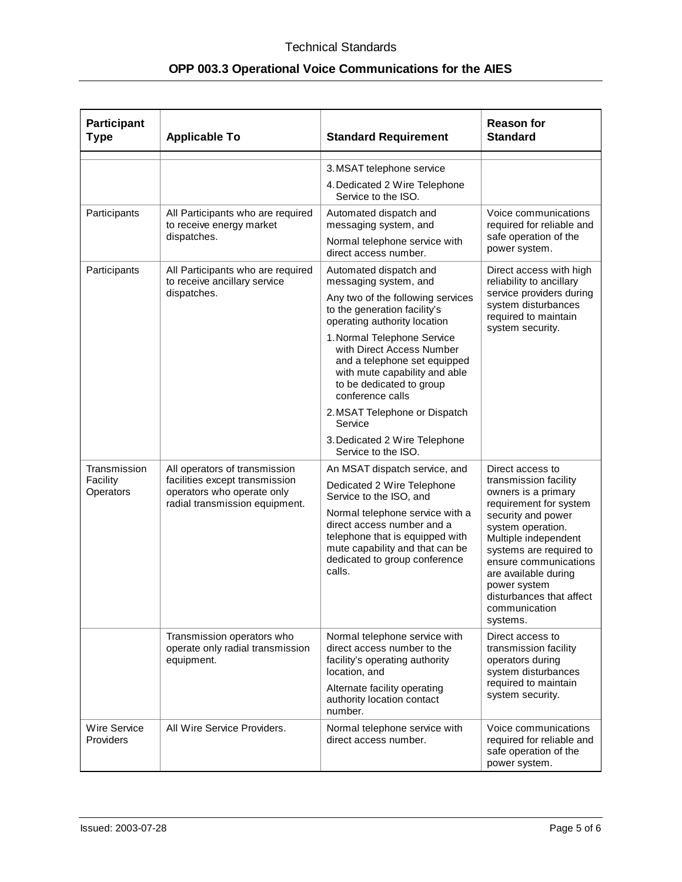| <b>Participant</b><br><b>Type</b>     | <b>Applicable To</b>                                                                                                            | <b>Standard Requirement</b>                                                                                                                                                                                                                                                                                                                                                                                                           | <b>Reason for</b><br><b>Standard</b>                                                                                                                                                                                                                                                                               |
|---------------------------------------|---------------------------------------------------------------------------------------------------------------------------------|---------------------------------------------------------------------------------------------------------------------------------------------------------------------------------------------------------------------------------------------------------------------------------------------------------------------------------------------------------------------------------------------------------------------------------------|--------------------------------------------------------------------------------------------------------------------------------------------------------------------------------------------------------------------------------------------------------------------------------------------------------------------|
|                                       |                                                                                                                                 | 3. MSAT telephone service<br>4. Dedicated 2 Wire Telephone<br>Service to the ISO.                                                                                                                                                                                                                                                                                                                                                     |                                                                                                                                                                                                                                                                                                                    |
| Participants                          | All Participants who are required<br>to receive energy market<br>dispatches.                                                    | Automated dispatch and<br>messaging system, and<br>Normal telephone service with<br>direct access number.                                                                                                                                                                                                                                                                                                                             | Voice communications<br>required for reliable and<br>safe operation of the<br>power system.                                                                                                                                                                                                                        |
| Participants                          | All Participants who are required<br>to receive ancillary service<br>dispatches.                                                | Automated dispatch and<br>messaging system, and<br>Any two of the following services<br>to the generation facility's<br>operating authority location<br>1. Normal Telephone Service<br>with Direct Access Number<br>and a telephone set equipped<br>with mute capability and able<br>to be dedicated to group<br>conference calls<br>2. MSAT Telephone or Dispatch<br>Service<br>3. Dedicated 2 Wire Telephone<br>Service to the ISO. | Direct access with high<br>reliability to ancillary<br>service providers during<br>system disturbances<br>required to maintain<br>system security.                                                                                                                                                                 |
| Transmission<br>Facility<br>Operators | All operators of transmission<br>facilities except transmission<br>operators who operate only<br>radial transmission equipment. | An MSAT dispatch service, and<br>Dedicated 2 Wire Telephone<br>Service to the ISO, and<br>Normal telephone service with a<br>direct access number and a<br>telephone that is equipped with<br>mute capability and that can be<br>dedicated to group conference<br>calls.                                                                                                                                                              | Direct access to<br>transmission facility<br>owners is a primary<br>requirement for system<br>security and power<br>system operation.<br>Multiple independent<br>systems are required to<br>ensure communications<br>are available during<br>power system<br>disturbances that affect<br>communication<br>systems. |
|                                       | Transmission operators who<br>operate only radial transmission<br>equipment.                                                    | Normal telephone service with<br>direct access number to the<br>facility's operating authority<br>location, and<br>Alternate facility operating<br>authority location contact<br>number.                                                                                                                                                                                                                                              | Direct access to<br>transmission facility<br>operators during<br>system disturbances<br>required to maintain<br>system security.                                                                                                                                                                                   |
| Wire Service<br>Providers             | All Wire Service Providers.                                                                                                     | Normal telephone service with<br>direct access number.                                                                                                                                                                                                                                                                                                                                                                                | Voice communications<br>required for reliable and<br>safe operation of the<br>power system.                                                                                                                                                                                                                        |

# **OPP 003.3 Operational Voice Communications for the AIES**